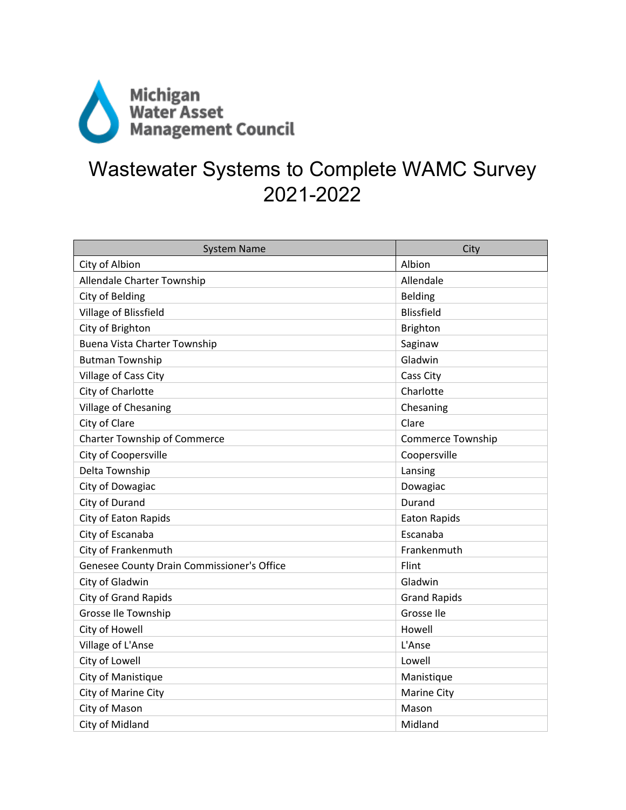

## Wastewater Systems to Complete WAMC Survey 2021-2022

| <b>System Name</b>                         | City                     |
|--------------------------------------------|--------------------------|
| City of Albion                             | Albion                   |
| Allendale Charter Township                 | Allendale                |
| City of Belding                            | Belding                  |
| Village of Blissfield                      | <b>Blissfield</b>        |
| City of Brighton                           | Brighton                 |
| <b>Buena Vista Charter Township</b>        | Saginaw                  |
| <b>Butman Township</b>                     | Gladwin                  |
| Village of Cass City                       | Cass City                |
| City of Charlotte                          | Charlotte                |
| Village of Chesaning                       | Chesaning                |
| City of Clare                              | Clare                    |
| <b>Charter Township of Commerce</b>        | <b>Commerce Township</b> |
| City of Coopersville                       | Coopersville             |
| Delta Township                             | Lansing                  |
| City of Dowagiac                           | Dowagiac                 |
| City of Durand                             | Durand                   |
| City of Eaton Rapids                       | <b>Eaton Rapids</b>      |
| City of Escanaba                           | Escanaba                 |
| City of Frankenmuth                        | Frankenmuth              |
| Genesee County Drain Commissioner's Office | Flint                    |
| City of Gladwin                            | Gladwin                  |
| <b>City of Grand Rapids</b>                | <b>Grand Rapids</b>      |
| Grosse Ile Township                        | Grosse Ile               |
| City of Howell                             | Howell                   |
| Village of L'Anse                          | L'Anse                   |
| City of Lowell                             | Lowell                   |
| City of Manistique                         | Manistique               |
| City of Marine City                        | <b>Marine City</b>       |
| City of Mason                              | Mason                    |
| City of Midland                            | Midland                  |